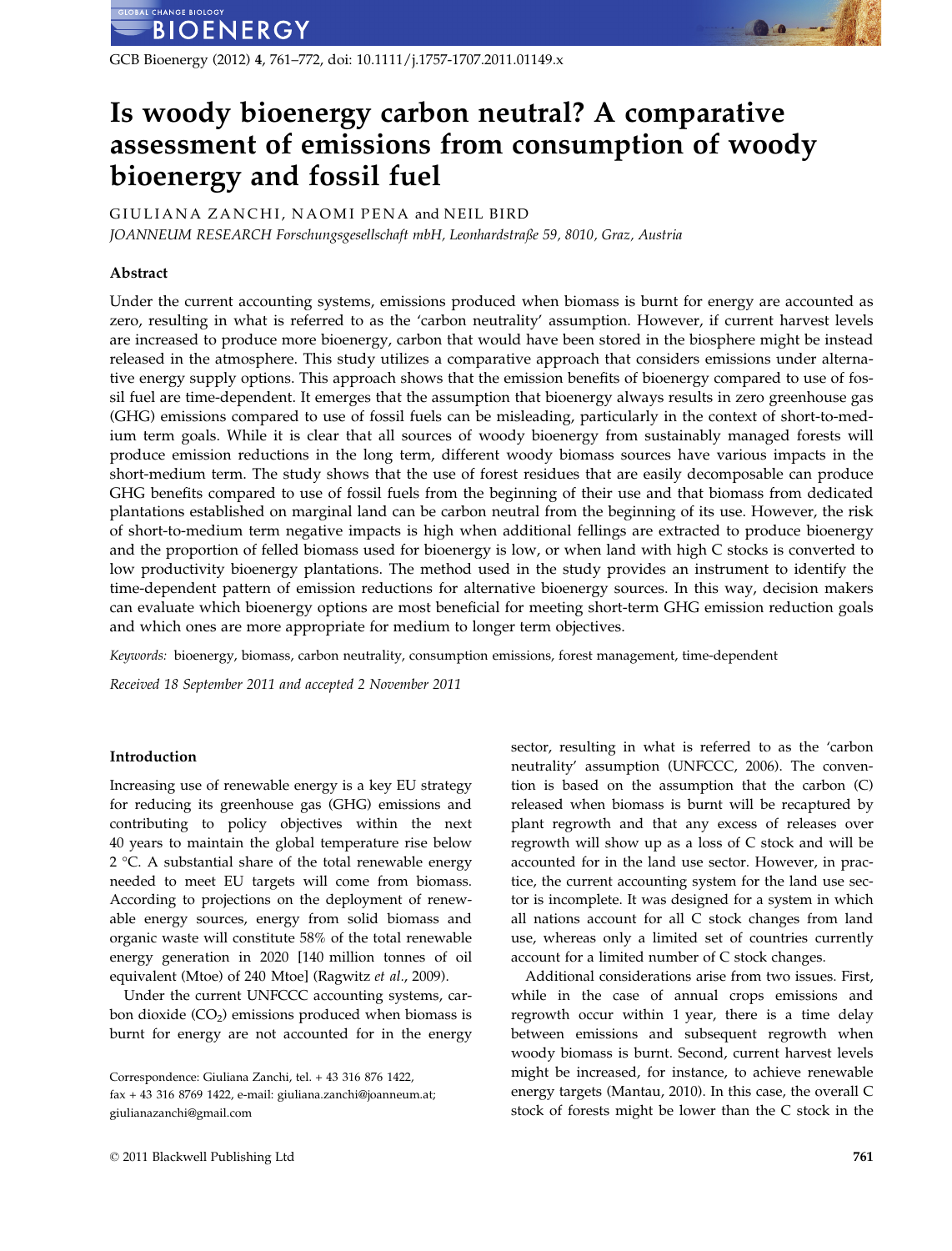

GCB Bioenergy (2012) 4, 761–772, doi: 10.1111/j.1757-1707.2011.01149.x

# Is woody bioenergy carbon neutral? A comparative assessment of emissions from consumption of woody bioenergy and fossil fuel

GIULIANA ZANCHI, NAOMI PENA and NEIL BIRD

JOANNEUM RESEARCH Forschungsgesellschaft mbH, Leonhardstraße 59, 8010, Graz, Austria

## Abstract

Under the current accounting systems, emissions produced when biomass is burnt for energy are accounted as zero, resulting in what is referred to as the 'carbon neutrality' assumption. However, if current harvest levels are increased to produce more bioenergy, carbon that would have been stored in the biosphere might be instead released in the atmosphere. This study utilizes a comparative approach that considers emissions under alternative energy supply options. This approach shows that the emission benefits of bioenergy compared to use of fossil fuel are time-dependent. It emerges that the assumption that bioenergy always results in zero greenhouse gas (GHG) emissions compared to use of fossil fuels can be misleading, particularly in the context of short-to-medium term goals. While it is clear that all sources of woody bioenergy from sustainably managed forests will produce emission reductions in the long term, different woody biomass sources have various impacts in the short-medium term. The study shows that the use of forest residues that are easily decomposable can produce GHG benefits compared to use of fossil fuels from the beginning of their use and that biomass from dedicated plantations established on marginal land can be carbon neutral from the beginning of its use. However, the risk of short-to-medium term negative impacts is high when additional fellings are extracted to produce bioenergy and the proportion of felled biomass used for bioenergy is low, or when land with high C stocks is converted to low productivity bioenergy plantations. The method used in the study provides an instrument to identify the time-dependent pattern of emission reductions for alternative bioenergy sources. In this way, decision makers can evaluate which bioenergy options are most beneficial for meeting short-term GHG emission reduction goals and which ones are more appropriate for medium to longer term objectives.

Keywords: bioenergy, biomass, carbon neutrality, consumption emissions, forest management, time-dependent

Received 18 September 2011 and accepted 2 November 2011

## Introduction

Increasing use of renewable energy is a key EU strategy for reducing its greenhouse gas (GHG) emissions and contributing to policy objectives within the next 40 years to maintain the global temperature rise below 2 °C. A substantial share of the total renewable energy needed to meet EU targets will come from biomass. According to projections on the deployment of renewable energy sources, energy from solid biomass and organic waste will constitute 58% of the total renewable energy generation in 2020 [140 million tonnes of oil equivalent (Mtoe) of 240 Mtoe] (Ragwitz et al., 2009).

Under the current UNFCCC accounting systems, carbon dioxide (CO<sub>2</sub>) emissions produced when biomass is burnt for energy are not accounted for in the energy sector, resulting in what is referred to as the 'carbon neutrality' assumption (UNFCCC, 2006). The convention is based on the assumption that the carbon (C) released when biomass is burnt will be recaptured by plant regrowth and that any excess of releases over regrowth will show up as a loss of C stock and will be accounted for in the land use sector. However, in practice, the current accounting system for the land use sector is incomplete. It was designed for a system in which all nations account for all C stock changes from land use, whereas only a limited set of countries currently account for a limited number of C stock changes.

Additional considerations arise from two issues. First, while in the case of annual crops emissions and regrowth occur within 1 year, there is a time delay between emissions and subsequent regrowth when woody biomass is burnt. Second, current harvest levels might be increased, for instance, to achieve renewable energy targets (Mantau, 2010). In this case, the overall C stock of forests might be lower than the C stock in the

Correspondence: Giuliana Zanchi, tel. + 43 316 876 1422, fax + 43 316 8769 1422, e-mail: giuliana.zanchi@joanneum.at; giulianazanchi@gmail.com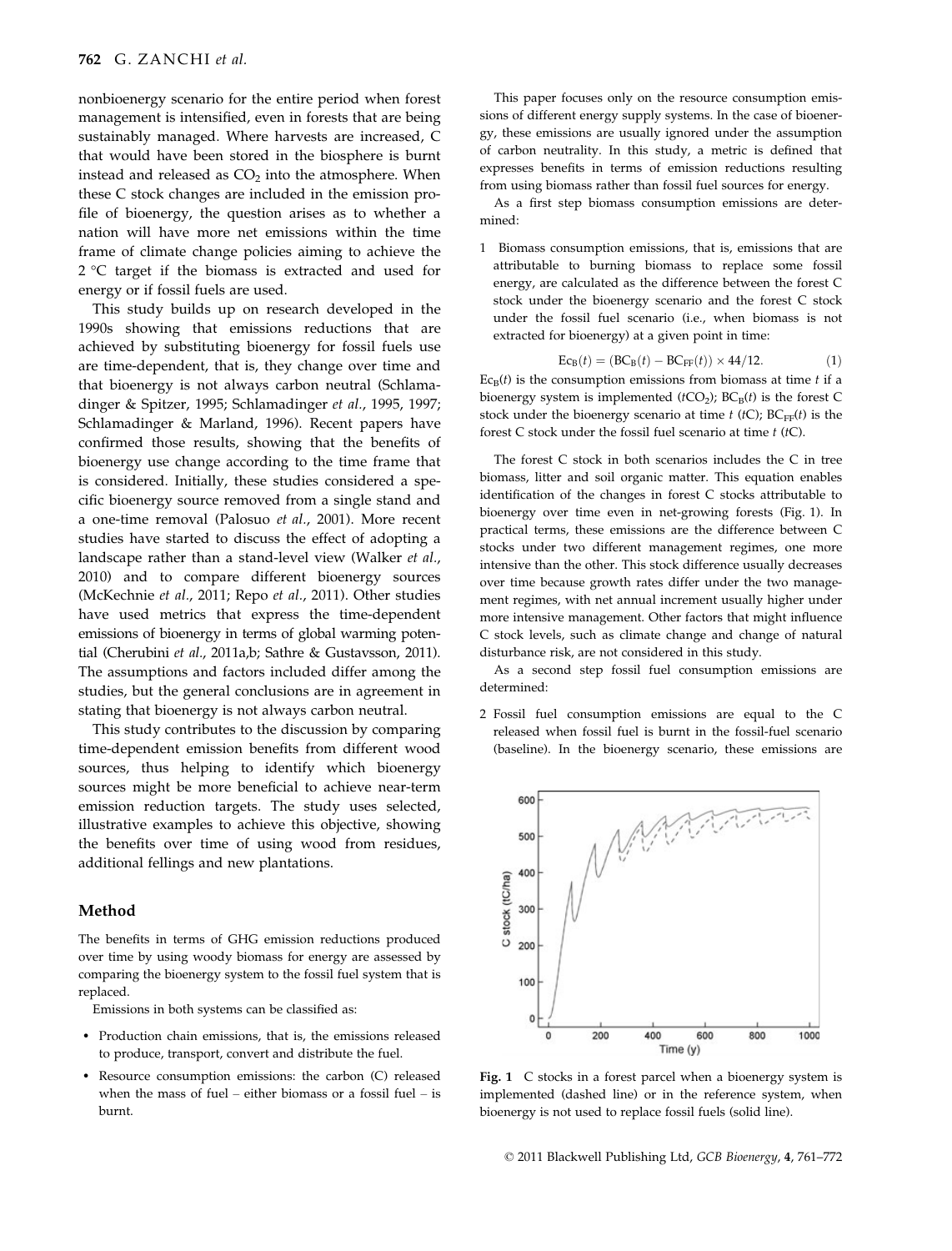nonbioenergy scenario for the entire period when forest management is intensified, even in forests that are being sustainably managed. Where harvests are increased, C that would have been stored in the biosphere is burnt instead and released as  $CO<sub>2</sub>$  into the atmosphere. When these C stock changes are included in the emission profile of bioenergy, the question arises as to whether a nation will have more net emissions within the time frame of climate change policies aiming to achieve the 2 °C target if the biomass is extracted and used for energy or if fossil fuels are used.

This study builds up on research developed in the 1990s showing that emissions reductions that are achieved by substituting bioenergy for fossil fuels use are time-dependent, that is, they change over time and that bioenergy is not always carbon neutral (Schlamadinger & Spitzer, 1995; Schlamadinger et al., 1995, 1997; Schlamadinger & Marland, 1996). Recent papers have confirmed those results, showing that the benefits of bioenergy use change according to the time frame that is considered. Initially, these studies considered a specific bioenergy source removed from a single stand and a one-time removal (Palosuo et al., 2001). More recent studies have started to discuss the effect of adopting a landscape rather than a stand-level view (Walker et al., 2010) and to compare different bioenergy sources (McKechnie et al., 2011; Repo et al., 2011). Other studies have used metrics that express the time-dependent emissions of bioenergy in terms of global warming potential (Cherubini et al., 2011a,b; Sathre & Gustavsson, 2011). The assumptions and factors included differ among the studies, but the general conclusions are in agreement in stating that bioenergy is not always carbon neutral.

This study contributes to the discussion by comparing time-dependent emission benefits from different wood sources, thus helping to identify which bioenergy sources might be more beneficial to achieve near-term emission reduction targets. The study uses selected, illustrative examples to achieve this objective, showing the benefits over time of using wood from residues, additional fellings and new plantations.

## Method

The benefits in terms of GHG emission reductions produced over time by using woody biomass for energy are assessed by comparing the bioenergy system to the fossil fuel system that is replaced.

Emissions in both systems can be classified as:

- Production chain emissions, that is, the emissions released to produce, transport, convert and distribute the fuel.
- Resource consumption emissions: the carbon (C) released when the mass of fuel – either biomass or a fossil fuel – is burnt.

This paper focuses only on the resource consumption emissions of different energy supply systems. In the case of bioenergy, these emissions are usually ignored under the assumption of carbon neutrality. In this study, a metric is defined that expresses benefits in terms of emission reductions resulting from using biomass rather than fossil fuel sources for energy.

As a first step biomass consumption emissions are determined:

1 Biomass consumption emissions, that is, emissions that are attributable to burning biomass to replace some fossil energy, are calculated as the difference between the forest C stock under the bioenergy scenario and the forest C stock under the fossil fuel scenario (i.e., when biomass is not extracted for bioenergy) at a given point in time:

$$
Ec_B(t) = (BC_B(t) - BC_{FF}(t)) \times 44/12.
$$
 (1)

 $Ec<sub>B</sub>(t)$  is the consumption emissions from biomass at time t if a bioenergy system is implemented  $(tCO<sub>2</sub>)$ ;  $BC<sub>B</sub>(t)$  is the forest C stock under the bioenergy scenario at time  $t$  ( $tC$ );  $BC_{FF}(t)$  is the forest C stock under the fossil fuel scenario at time  $t$  ( $tC$ ).

The forest C stock in both scenarios includes the C in tree biomass, litter and soil organic matter. This equation enables identification of the changes in forest C stocks attributable to bioenergy over time even in net-growing forests (Fig. 1). In practical terms, these emissions are the difference between C stocks under two different management regimes, one more intensive than the other. This stock difference usually decreases over time because growth rates differ under the two management regimes, with net annual increment usually higher under more intensive management. Other factors that might influence C stock levels, such as climate change and change of natural disturbance risk, are not considered in this study.

As a second step fossil fuel consumption emissions are determined:

2 Fossil fuel consumption emissions are equal to the C released when fossil fuel is burnt in the fossil-fuel scenario (baseline). In the bioenergy scenario, these emissions are



Fig. 1 C stocks in a forest parcel when a bioenergy system is implemented (dashed line) or in the reference system, when bioenergy is not used to replace fossil fuels (solid line).

© 2011 Blackwell Publishing Ltd, GCB Bioenergy, 4, 761–772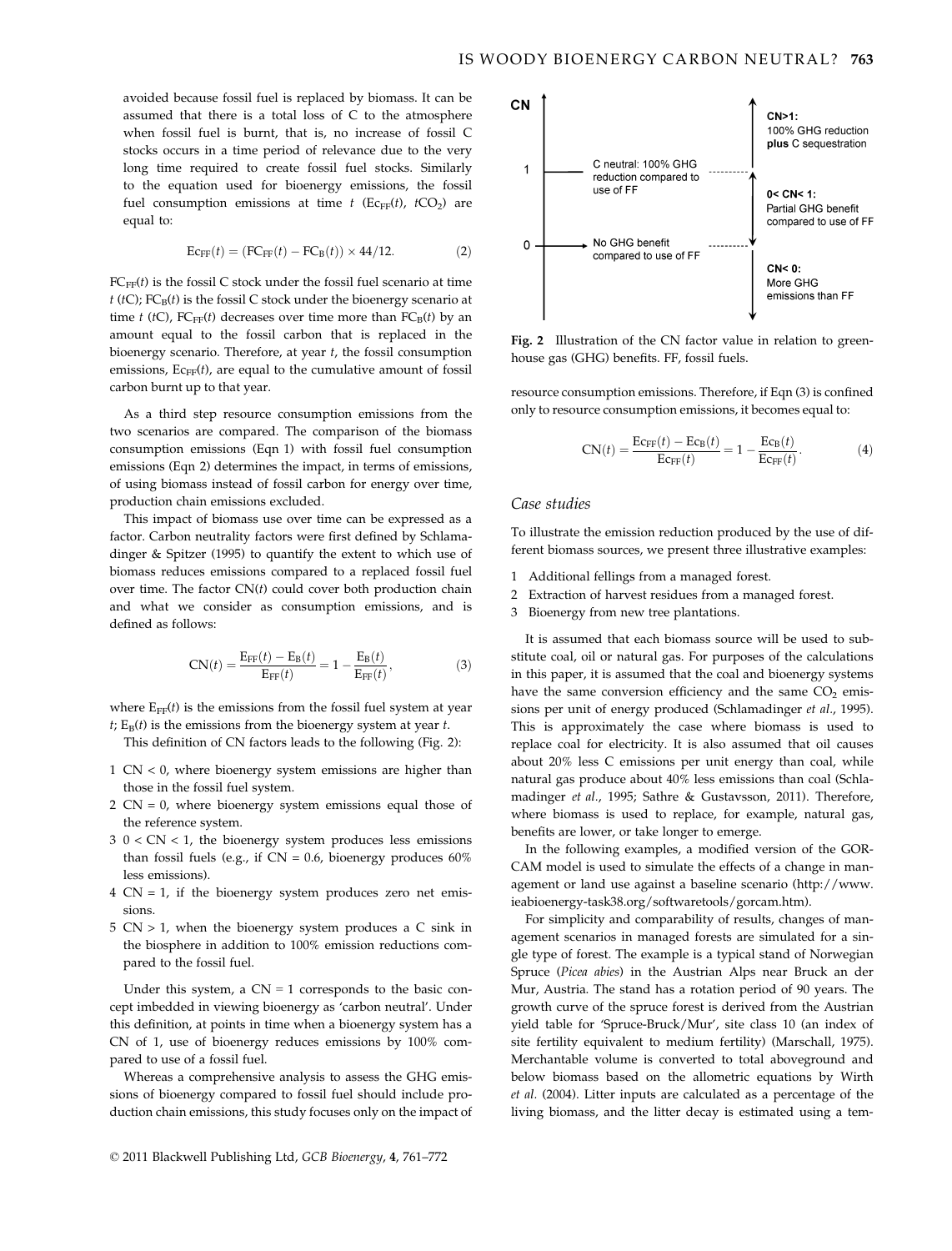avoided because fossil fuel is replaced by biomass. It can be assumed that there is a total loss of C to the atmosphere when fossil fuel is burnt, that is, no increase of fossil C stocks occurs in a time period of relevance due to the very long time required to create fossil fuel stocks. Similarly to the equation used for bioenergy emissions, the fossil fuel consumption emissions at time t (Ec<sub>FF</sub>(t), tCO<sub>2</sub>) are equal to:

$$
E_{\rm CFF}(t) = (FC_{\rm FF}(t) - FC_{\rm B}(t)) \times 44/12.
$$
 (2)

 $FC_{EF}(t)$  is the fossil C stock under the fossil fuel scenario at time  $t$  ( $tC$ ); FC<sub>B</sub>( $t$ ) is the fossil C stock under the bioenergy scenario at time t (tC),  $FC_{FF}(t)$  decreases over time more than  $FC_B(t)$  by an amount equal to the fossil carbon that is replaced in the bioenergy scenario. Therefore, at year  $t$ , the fossil consumption emissions,  $E_{\text{CFF}}(t)$ , are equal to the cumulative amount of fossil carbon burnt up to that year.

As a third step resource consumption emissions from the two scenarios are compared. The comparison of the biomass consumption emissions (Eqn 1) with fossil fuel consumption emissions (Eqn 2) determines the impact, in terms of emissions, of using biomass instead of fossil carbon for energy over time, production chain emissions excluded.

This impact of biomass use over time can be expressed as a factor. Carbon neutrality factors were first defined by Schlamadinger & Spitzer (1995) to quantify the extent to which use of biomass reduces emissions compared to a replaced fossil fuel over time. The factor  $CN(t)$  could cover both production chain and what we consider as consumption emissions, and is defined as follows:

$$
CN(t) = \frac{E_{FF}(t) - E_B(t)}{E_{FF}(t)} = 1 - \frac{E_B(t)}{E_{FF}(t)},
$$
\n(3)

where  $E_{FF}(t)$  is the emissions from the fossil fuel system at year t;  $E_B(t)$  is the emissions from the bioenergy system at year t.

This definition of CN factors leads to the following (Fig. 2):

- 1 CN < 0, where bioenergy system emissions are higher than those in the fossil fuel system.
- 2 CN = 0, where bioenergy system emissions equal those of the reference system.
- $3 \text{ } 0 < CN < 1$ , the bioenergy system produces less emissions than fossil fuels (e.g., if  $CN = 0.6$ , bioenergy produces  $60\%$ less emissions).
- $4 \text{ CN} = 1$ , if the bioenergy system produces zero net emissions.
- 5 CN > 1, when the bioenergy system produces a C sink in the biosphere in addition to 100% emission reductions compared to the fossil fuel.

Under this system, a  $CN = 1$  corresponds to the basic concept imbedded in viewing bioenergy as 'carbon neutral'. Under this definition, at points in time when a bioenergy system has a CN of 1, use of bioenergy reduces emissions by 100% compared to use of a fossil fuel.

Whereas a comprehensive analysis to assess the GHG emissions of bioenergy compared to fossil fuel should include production chain emissions, this study focuses only on the impact of





Fig. 2 Illustration of the CN factor value in relation to greenhouse gas (GHG) benefits. FF, fossil fuels.

resource consumption emissions. Therefore, if Eqn (3) is confined only to resource consumption emissions, it becomes equal to:

$$
CN(t) = \frac{E_{\text{CFF}}(t) - E_{\text{CB}}(t)}{E_{\text{CFF}}(t)} = 1 - \frac{E_{\text{CB}}(t)}{E_{\text{CFF}}(t)}.
$$
(4)

## Case studies

To illustrate the emission reduction produced by the use of different biomass sources, we present three illustrative examples:

- 1 Additional fellings from a managed forest.
- 2 Extraction of harvest residues from a managed forest.
- 3 Bioenergy from new tree plantations.

It is assumed that each biomass source will be used to substitute coal, oil or natural gas. For purposes of the calculations in this paper, it is assumed that the coal and bioenergy systems have the same conversion efficiency and the same  $CO<sub>2</sub>$  emissions per unit of energy produced (Schlamadinger et al., 1995). This is approximately the case where biomass is used to replace coal for electricity. It is also assumed that oil causes about 20% less C emissions per unit energy than coal, while natural gas produce about 40% less emissions than coal (Schlamadinger et al., 1995; Sathre & Gustavsson, 2011). Therefore, where biomass is used to replace, for example, natural gas, benefits are lower, or take longer to emerge.

In the following examples, a modified version of the GOR-CAM model is used to simulate the effects of a change in management or land use against a baseline scenario (http://www. ieabioenergy-task38.org/softwaretools/gorcam.htm).

For simplicity and comparability of results, changes of management scenarios in managed forests are simulated for a single type of forest. The example is a typical stand of Norwegian Spruce (Picea abies) in the Austrian Alps near Bruck an der Mur, Austria. The stand has a rotation period of 90 years. The growth curve of the spruce forest is derived from the Austrian yield table for 'Spruce-Bruck/Mur', site class 10 (an index of site fertility equivalent to medium fertility) (Marschall, 1975). Merchantable volume is converted to total aboveground and below biomass based on the allometric equations by Wirth et al. (2004). Litter inputs are calculated as a percentage of the living biomass, and the litter decay is estimated using a tem-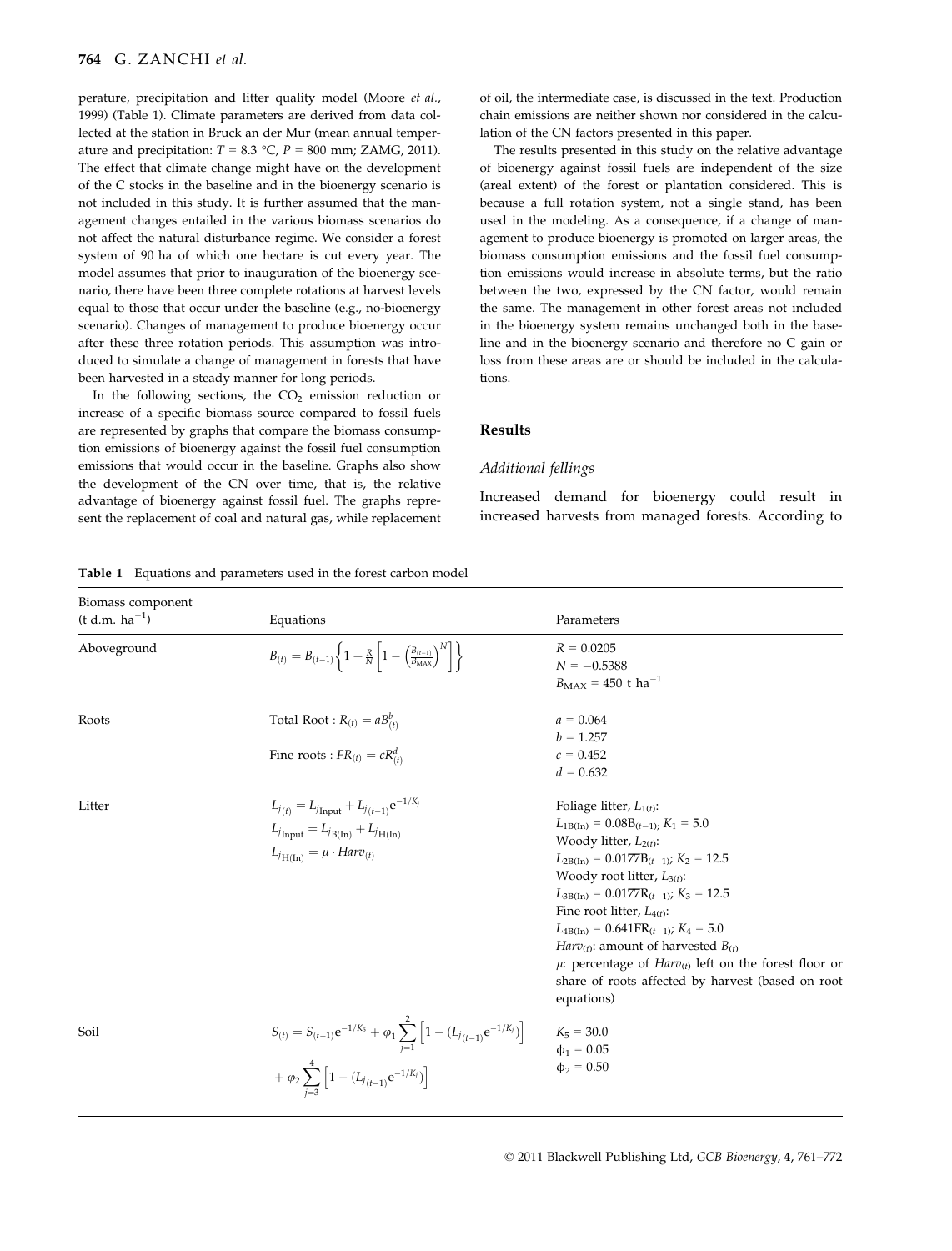## 764 G. ZANCHI et al.

perature, precipitation and litter quality model (Moore et al., 1999) (Table 1). Climate parameters are derived from data collected at the station in Bruck an der Mur (mean annual temperature and precipitation:  $T = 8.3 \text{ °C}$ ,  $P = 800 \text{ mm}$ ; ZAMG, 2011). The effect that climate change might have on the development of the C stocks in the baseline and in the bioenergy scenario is not included in this study. It is further assumed that the management changes entailed in the various biomass scenarios do not affect the natural disturbance regime. We consider a forest system of 90 ha of which one hectare is cut every year. The model assumes that prior to inauguration of the bioenergy scenario, there have been three complete rotations at harvest levels equal to those that occur under the baseline (e.g., no-bioenergy scenario). Changes of management to produce bioenergy occur after these three rotation periods. This assumption was introduced to simulate a change of management in forests that have been harvested in a steady manner for long periods.

In the following sections, the  $CO<sub>2</sub>$  emission reduction or increase of a specific biomass source compared to fossil fuels are represented by graphs that compare the biomass consumption emissions of bioenergy against the fossil fuel consumption emissions that would occur in the baseline. Graphs also show the development of the CN over time, that is, the relative advantage of bioenergy against fossil fuel. The graphs represent the replacement of coal and natural gas, while replacement of oil, the intermediate case, is discussed in the text. Production chain emissions are neither shown nor considered in the calculation of the CN factors presented in this paper.

The results presented in this study on the relative advantage of bioenergy against fossil fuels are independent of the size (areal extent) of the forest or plantation considered. This is because a full rotation system, not a single stand, has been used in the modeling. As a consequence, if a change of management to produce bioenergy is promoted on larger areas, the biomass consumption emissions and the fossil fuel consumption emissions would increase in absolute terms, but the ratio between the two, expressed by the CN factor, would remain the same. The management in other forest areas not included in the bioenergy system remains unchanged both in the baseline and in the bioenergy scenario and therefore no C gain or loss from these areas are or should be included in the calculations.

## Results

#### Additional fellings

Increased demand for bioenergy could result in increased harvests from managed forests. According to

Table 1 Equations and parameters used in the forest carbon model

| Biomass component<br>$(t$ d.m. $ha^{-1}$ ) | Equations                                                                                                                                                                         | Parameters                                                                                                                                                                                                                                                                                                                                                                                                                                                                                                                                        |
|--------------------------------------------|-----------------------------------------------------------------------------------------------------------------------------------------------------------------------------------|---------------------------------------------------------------------------------------------------------------------------------------------------------------------------------------------------------------------------------------------------------------------------------------------------------------------------------------------------------------------------------------------------------------------------------------------------------------------------------------------------------------------------------------------------|
| Aboveground                                | $B_{(t)} = B_{(t-1)} \left\{ 1 + \frac{R}{N} \left  1 - \left( \frac{B_{(t-1)}}{B_{\text{MAX}}} \right)^N \right  \right\}$                                                       | $R = 0.0205$<br>$N = -0.5388$<br>$B_{MAX} = 450$ t ha <sup>-1</sup>                                                                                                                                                                                                                                                                                                                                                                                                                                                                               |
| Roots                                      | Total Root : $R_{(t)} = aB_{(t)}^b$<br>Fine roots : $FR_{(t)} = cR_{(t)}^d$                                                                                                       | $a = 0.064$<br>$b = 1.257$<br>$c = 0.452$<br>$d = 0.632$                                                                                                                                                                                                                                                                                                                                                                                                                                                                                          |
| Litter                                     | $L_{j(t)} = L_{j_{\text{Input}}} + L_{j(t-1)} e^{-1/K_j}$<br>$L_{j\text{Input}} = L_{j\text{B(In)}} + L_{j\text{H(In)}}$<br>$L_{j_{\text{H(In)}}} = \mu \cdot \text{Harv}_{(t)}$  | Foliage litter, $L_{1(t)}$ :<br>$L_{1B(In)} = 0.08B_{(t-1)}$ ; $K_1 = 5.0$<br>Woody litter, $L_{2(h)}$ :<br>$L_{2B(In)} = 0.0177B_{(t-1)}$ ; $K_2 = 12.5$<br>Woody root litter, $L_{3(t)}$ :<br>$L_{3B(In)} = 0.0177R_{(t-1)}$ ; $K_3 = 12.5$<br>Fine root litter, $L_{4(t)}$ :<br>$L_{\text{4B(In)}} = 0.641 \text{FR}_{(t-1)}$ ; $K_4 = 5.0$<br><i>Harv</i> <sub>(t)</sub> : amount of harvested $B_{(t)}$<br>$\mu$ : percentage of $Harv_{(t)}$ left on the forest floor or<br>share of roots affected by harvest (based on root<br>equations) |
| Soil                                       | $S_{(t)} = S_{(t-1)} e^{-1/K_5} + \varphi_1 \sum_{j=1}^{2} \left[ 1 - (L_{j(t-1)} e^{-1/K_j}) \right]$<br>+ $\varphi_2 \sum_{j=3}^{4} \left[ 1 - (L_{j(t-1)} e^{-1/K_j}) \right]$ | $K_5 = 30.0$<br>$\phi_1 = 0.05$<br>$\phi_2 = 0.50$                                                                                                                                                                                                                                                                                                                                                                                                                                                                                                |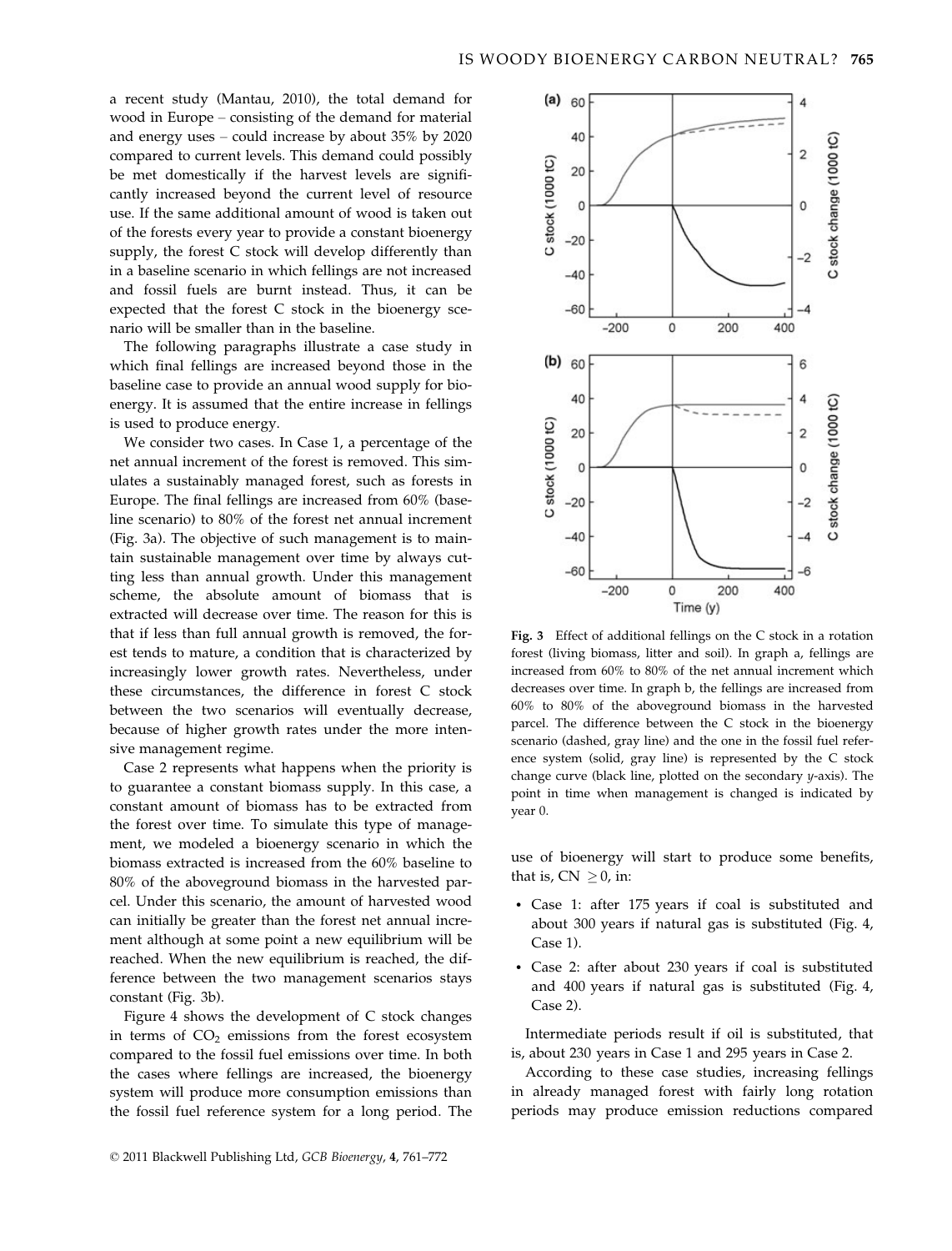a recent study (Mantau, 2010), the total demand for wood in Europe – consisting of the demand for material and energy uses – could increase by about 35% by 2020 compared to current levels. This demand could possibly be met domestically if the harvest levels are significantly increased beyond the current level of resource use. If the same additional amount of wood is taken out of the forests every year to provide a constant bioenergy supply, the forest C stock will develop differently than in a baseline scenario in which fellings are not increased and fossil fuels are burnt instead. Thus, it can be expected that the forest C stock in the bioenergy scenario will be smaller than in the baseline.

The following paragraphs illustrate a case study in which final fellings are increased beyond those in the baseline case to provide an annual wood supply for bioenergy. It is assumed that the entire increase in fellings is used to produce energy.

We consider two cases. In Case 1, a percentage of the net annual increment of the forest is removed. This simulates a sustainably managed forest, such as forests in Europe. The final fellings are increased from 60% (baseline scenario) to 80% of the forest net annual increment (Fig. 3a). The objective of such management is to maintain sustainable management over time by always cutting less than annual growth. Under this management scheme, the absolute amount of biomass that is extracted will decrease over time. The reason for this is that if less than full annual growth is removed, the forest tends to mature, a condition that is characterized by increasingly lower growth rates. Nevertheless, under these circumstances, the difference in forest C stock between the two scenarios will eventually decrease, because of higher growth rates under the more intensive management regime.

Case 2 represents what happens when the priority is to guarantee a constant biomass supply. In this case, a constant amount of biomass has to be extracted from the forest over time. To simulate this type of management, we modeled a bioenergy scenario in which the biomass extracted is increased from the 60% baseline to 80% of the aboveground biomass in the harvested parcel. Under this scenario, the amount of harvested wood can initially be greater than the forest net annual increment although at some point a new equilibrium will be reached. When the new equilibrium is reached, the difference between the two management scenarios stays constant (Fig. 3b).

Figure 4 shows the development of C stock changes in terms of  $CO<sub>2</sub>$  emissions from the forest ecosystem compared to the fossil fuel emissions over time. In both the cases where fellings are increased, the bioenergy system will produce more consumption emissions than the fossil fuel reference system for a long period. The



Fig. 3 Effect of additional fellings on the C stock in a rotation forest (living biomass, litter and soil). In graph a, fellings are increased from 60% to 80% of the net annual increment which decreases over time. In graph b, the fellings are increased from 60% to 80% of the aboveground biomass in the harvested parcel. The difference between the C stock in the bioenergy scenario (dashed, gray line) and the one in the fossil fuel reference system (solid, gray line) is represented by the C stock change curve (black line, plotted on the secondary y-axis). The point in time when management is changed is indicated by year 0.

use of bioenergy will start to produce some benefits, that is,  $CN > 0$ , in:

- Case 1: after 175 years if coal is substituted and about 300 years if natural gas is substituted (Fig. 4, Case 1).
- Case 2: after about 230 years if coal is substituted and 400 years if natural gas is substituted (Fig. 4, Case 2).

Intermediate periods result if oil is substituted, that is, about 230 years in Case 1 and 295 years in Case 2.

According to these case studies, increasing fellings in already managed forest with fairly long rotation periods may produce emission reductions compared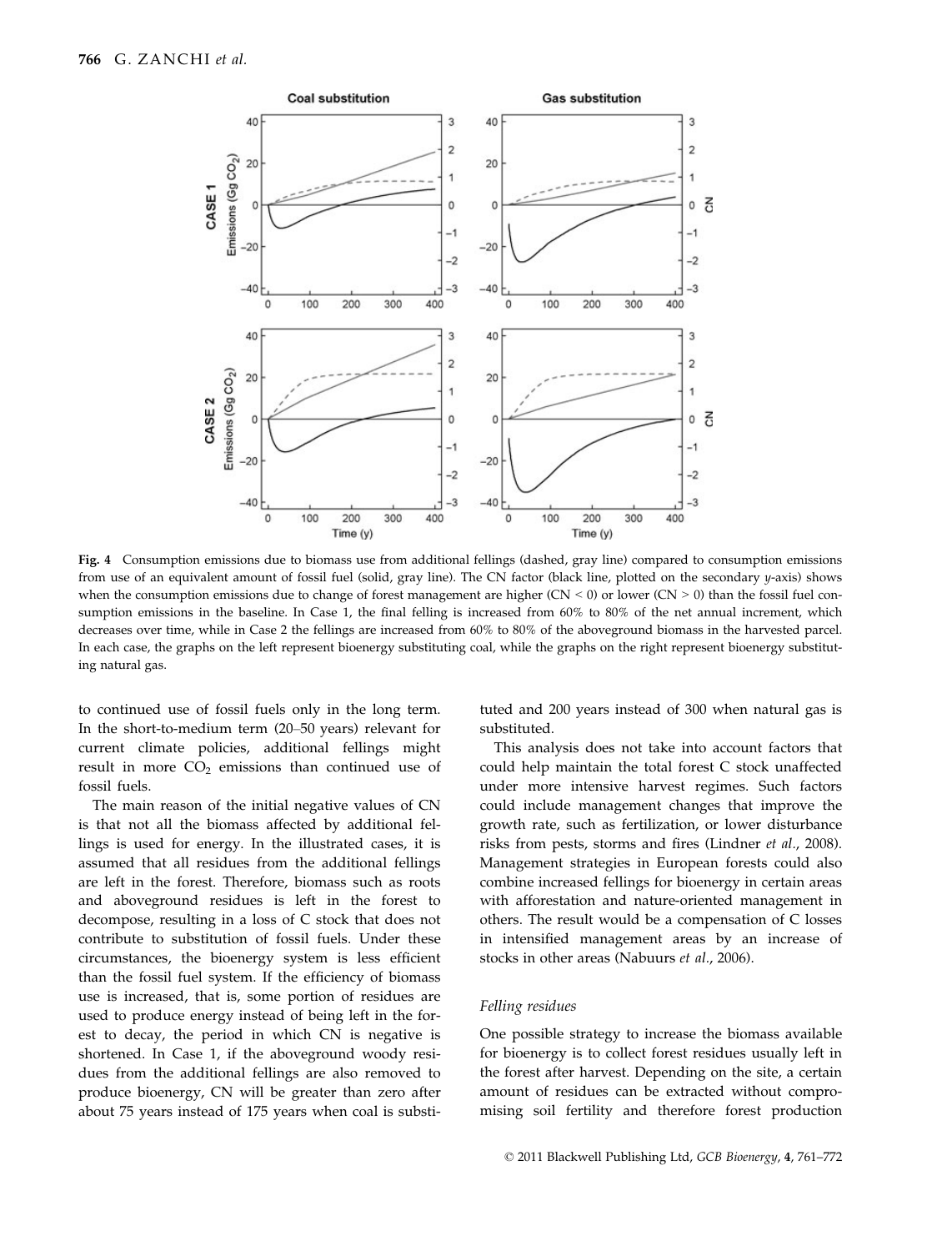

Fig. 4 Consumption emissions due to biomass use from additional fellings (dashed, gray line) compared to consumption emissions from use of an equivalent amount of fossil fuel (solid, gray line). The CN factor (black line, plotted on the secondary y-axis) shows when the consumption emissions due to change of forest management are higher ( $CN < 0$ ) or lower ( $CN > 0$ ) than the fossil fuel consumption emissions in the baseline. In Case 1, the final felling is increased from 60% to 80% of the net annual increment, which decreases over time, while in Case 2 the fellings are increased from 60% to 80% of the aboveground biomass in the harvested parcel. In each case, the graphs on the left represent bioenergy substituting coal, while the graphs on the right represent bioenergy substituting natural gas.

to continued use of fossil fuels only in the long term. In the short-to-medium term (20–50 years) relevant for current climate policies, additional fellings might result in more  $CO<sub>2</sub>$  emissions than continued use of fossil fuels.

The main reason of the initial negative values of CN is that not all the biomass affected by additional fellings is used for energy. In the illustrated cases, it is assumed that all residues from the additional fellings are left in the forest. Therefore, biomass such as roots and aboveground residues is left in the forest to decompose, resulting in a loss of C stock that does not contribute to substitution of fossil fuels. Under these circumstances, the bioenergy system is less efficient than the fossil fuel system. If the efficiency of biomass use is increased, that is, some portion of residues are used to produce energy instead of being left in the forest to decay, the period in which CN is negative is shortened. In Case 1, if the aboveground woody residues from the additional fellings are also removed to produce bioenergy, CN will be greater than zero after about 75 years instead of 175 years when coal is substituted and 200 years instead of 300 when natural gas is substituted.

This analysis does not take into account factors that could help maintain the total forest C stock unaffected under more intensive harvest regimes. Such factors could include management changes that improve the growth rate, such as fertilization, or lower disturbance risks from pests, storms and fires (Lindner et al., 2008). Management strategies in European forests could also combine increased fellings for bioenergy in certain areas with afforestation and nature-oriented management in others. The result would be a compensation of C losses in intensified management areas by an increase of stocks in other areas (Nabuurs et al., 2006).

#### Felling residues

One possible strategy to increase the biomass available for bioenergy is to collect forest residues usually left in the forest after harvest. Depending on the site, a certain amount of residues can be extracted without compromising soil fertility and therefore forest production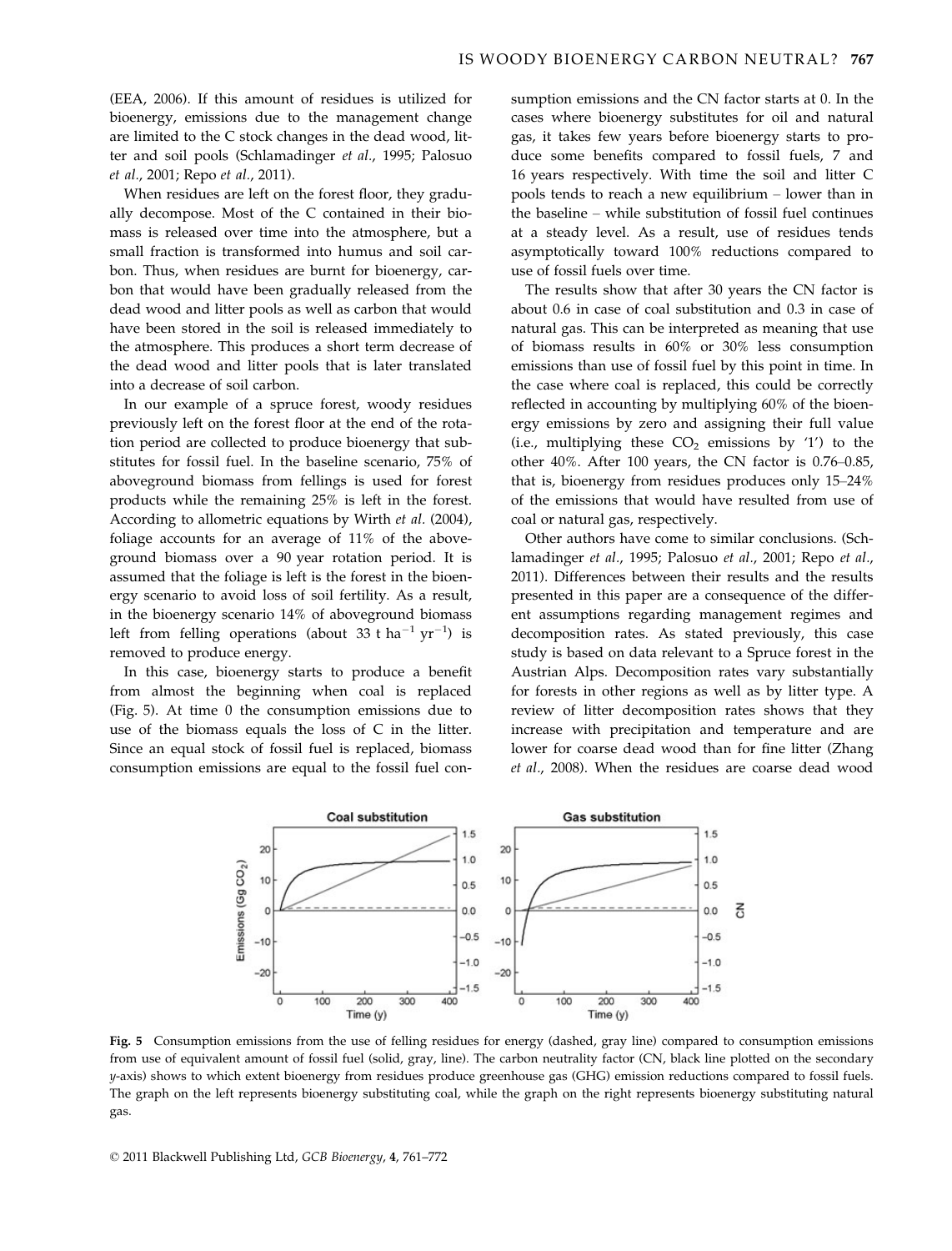(EEA, 2006). If this amount of residues is utilized for bioenergy, emissions due to the management change are limited to the C stock changes in the dead wood, litter and soil pools (Schlamadinger et al., 1995; Palosuo et al., 2001; Repo et al., 2011).

When residues are left on the forest floor, they gradually decompose. Most of the C contained in their biomass is released over time into the atmosphere, but a small fraction is transformed into humus and soil carbon. Thus, when residues are burnt for bioenergy, carbon that would have been gradually released from the dead wood and litter pools as well as carbon that would have been stored in the soil is released immediately to the atmosphere. This produces a short term decrease of the dead wood and litter pools that is later translated into a decrease of soil carbon.

In our example of a spruce forest, woody residues previously left on the forest floor at the end of the rotation period are collected to produce bioenergy that substitutes for fossil fuel. In the baseline scenario, 75% of aboveground biomass from fellings is used for forest products while the remaining 25% is left in the forest. According to allometric equations by Wirth et al. (2004), foliage accounts for an average of 11% of the aboveground biomass over a 90 year rotation period. It is assumed that the foliage is left is the forest in the bioenergy scenario to avoid loss of soil fertility. As a result, in the bioenergy scenario 14% of aboveground biomass left from felling operations (about 33 t ha $^{-1}$  yr $^{-1}$ ) is removed to produce energy.

In this case, bioenergy starts to produce a benefit from almost the beginning when coal is replaced (Fig. 5). At time 0 the consumption emissions due to use of the biomass equals the loss of C in the litter. Since an equal stock of fossil fuel is replaced, biomass consumption emissions are equal to the fossil fuel consumption emissions and the CN factor starts at 0. In the cases where bioenergy substitutes for oil and natural gas, it takes few years before bioenergy starts to produce some benefits compared to fossil fuels, 7 and 16 years respectively. With time the soil and litter C pools tends to reach a new equilibrium – lower than in the baseline – while substitution of fossil fuel continues at a steady level. As a result, use of residues tends asymptotically toward 100% reductions compared to use of fossil fuels over time.

The results show that after 30 years the CN factor is about 0.6 in case of coal substitution and 0.3 in case of natural gas. This can be interpreted as meaning that use of biomass results in 60% or 30% less consumption emissions than use of fossil fuel by this point in time. In the case where coal is replaced, this could be correctly reflected in accounting by multiplying 60% of the bioenergy emissions by zero and assigning their full value (i.e., multiplying these  $CO<sub>2</sub>$  emissions by '1') to the other 40%. After 100 years, the CN factor is 0.76–0.85, that is, bioenergy from residues produces only 15–24% of the emissions that would have resulted from use of coal or natural gas, respectively.

Other authors have come to similar conclusions. (Schlamadinger et al., 1995; Palosuo et al., 2001; Repo et al., 2011). Differences between their results and the results presented in this paper are a consequence of the different assumptions regarding management regimes and decomposition rates. As stated previously, this case study is based on data relevant to a Spruce forest in the Austrian Alps. Decomposition rates vary substantially for forests in other regions as well as by litter type. A review of litter decomposition rates shows that they increase with precipitation and temperature and are lower for coarse dead wood than for fine litter (Zhang et al., 2008). When the residues are coarse dead wood



Fig. 5 Consumption emissions from the use of felling residues for energy (dashed, gray line) compared to consumption emissions from use of equivalent amount of fossil fuel (solid, gray, line). The carbon neutrality factor (CN, black line plotted on the secondary y-axis) shows to which extent bioenergy from residues produce greenhouse gas (GHG) emission reductions compared to fossil fuels. The graph on the left represents bioenergy substituting coal, while the graph on the right represents bioenergy substituting natural gas.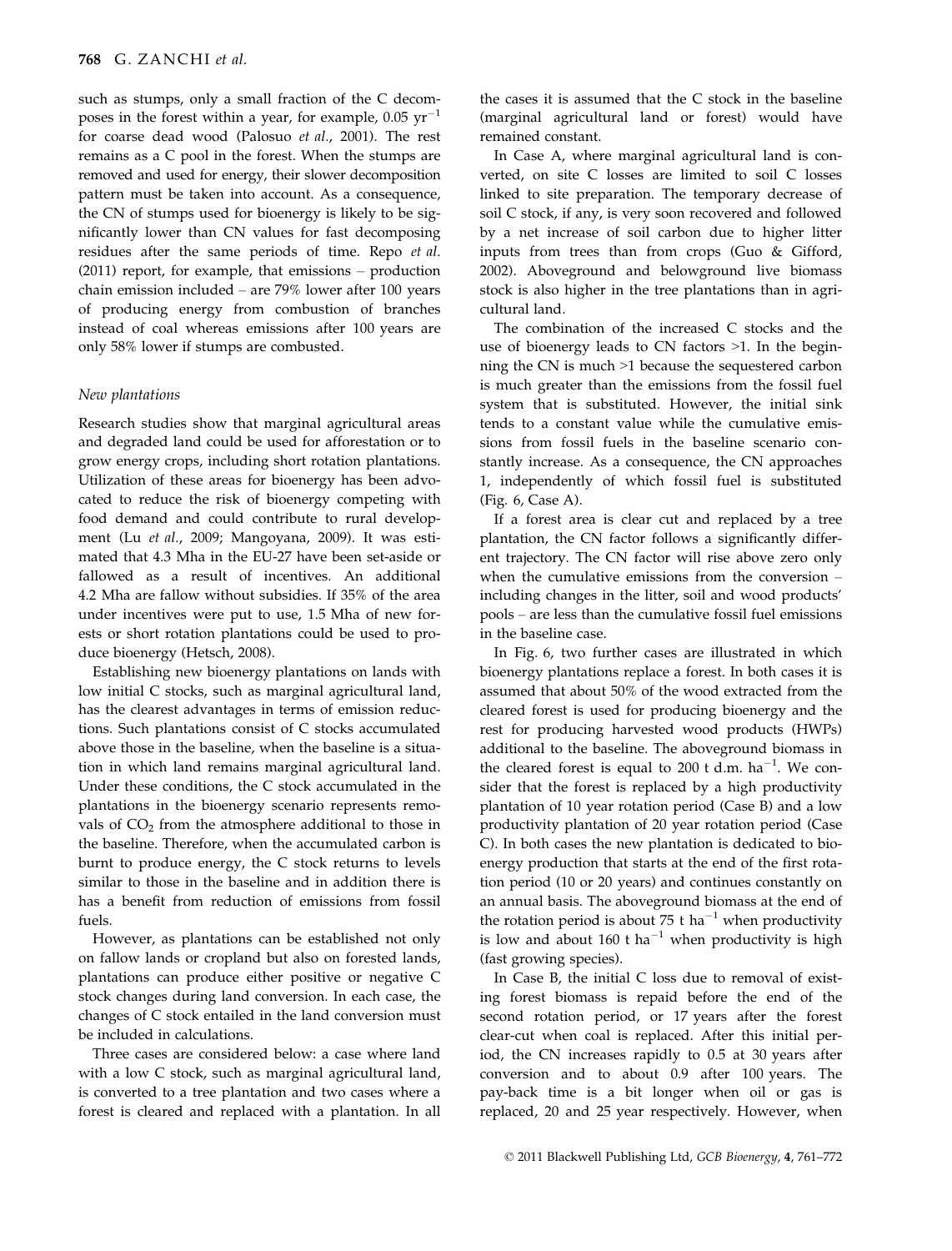such as stumps, only a small fraction of the C decomposes in the forest within a year, for example,  $0.05 \text{ yr}^{-1}$ for coarse dead wood (Palosuo et al., 2001). The rest remains as a C pool in the forest. When the stumps are removed and used for energy, their slower decomposition pattern must be taken into account. As a consequence, the CN of stumps used for bioenergy is likely to be significantly lower than CN values for fast decomposing residues after the same periods of time. Repo et al. (2011) report, for example, that emissions – production chain emission included – are 79% lower after 100 years of producing energy from combustion of branches instead of coal whereas emissions after 100 years are only 58% lower if stumps are combusted.

#### New plantations

Research studies show that marginal agricultural areas and degraded land could be used for afforestation or to grow energy crops, including short rotation plantations. Utilization of these areas for bioenergy has been advocated to reduce the risk of bioenergy competing with food demand and could contribute to rural development (Lu et al., 2009; Mangoyana, 2009). It was estimated that 4.3 Mha in the EU-27 have been set-aside or fallowed as a result of incentives. An additional 4.2 Mha are fallow without subsidies. If 35% of the area under incentives were put to use, 1.5 Mha of new forests or short rotation plantations could be used to produce bioenergy (Hetsch, 2008).

Establishing new bioenergy plantations on lands with low initial C stocks, such as marginal agricultural land, has the clearest advantages in terms of emission reductions. Such plantations consist of C stocks accumulated above those in the baseline, when the baseline is a situation in which land remains marginal agricultural land. Under these conditions, the C stock accumulated in the plantations in the bioenergy scenario represents removals of  $CO<sub>2</sub>$  from the atmosphere additional to those in the baseline. Therefore, when the accumulated carbon is burnt to produce energy, the C stock returns to levels similar to those in the baseline and in addition there is has a benefit from reduction of emissions from fossil fuels.

However, as plantations can be established not only on fallow lands or cropland but also on forested lands, plantations can produce either positive or negative C stock changes during land conversion. In each case, the changes of C stock entailed in the land conversion must be included in calculations.

Three cases are considered below: a case where land with a low C stock, such as marginal agricultural land, is converted to a tree plantation and two cases where a forest is cleared and replaced with a plantation. In all the cases it is assumed that the C stock in the baseline (marginal agricultural land or forest) would have remained constant.

In Case A, where marginal agricultural land is converted, on site C losses are limited to soil C losses linked to site preparation. The temporary decrease of soil C stock, if any, is very soon recovered and followed by a net increase of soil carbon due to higher litter inputs from trees than from crops (Guo & Gifford, 2002). Aboveground and belowground live biomass stock is also higher in the tree plantations than in agricultural land.

The combination of the increased C stocks and the use of bioenergy leads to CN factors >1. In the beginning the CN is much >1 because the sequestered carbon is much greater than the emissions from the fossil fuel system that is substituted. However, the initial sink tends to a constant value while the cumulative emissions from fossil fuels in the baseline scenario constantly increase. As a consequence, the CN approaches 1, independently of which fossil fuel is substituted (Fig. 6, Case A).

If a forest area is clear cut and replaced by a tree plantation, the CN factor follows a significantly different trajectory. The CN factor will rise above zero only when the cumulative emissions from the conversion – including changes in the litter, soil and wood products' pools – are less than the cumulative fossil fuel emissions in the baseline case.

In Fig. 6, two further cases are illustrated in which bioenergy plantations replace a forest. In both cases it is assumed that about 50% of the wood extracted from the cleared forest is used for producing bioenergy and the rest for producing harvested wood products (HWPs) additional to the baseline. The aboveground biomass in the cleared forest is equal to 200 t d.m.  $ha^{-1}$ . We consider that the forest is replaced by a high productivity plantation of 10 year rotation period (Case B) and a low productivity plantation of 20 year rotation period (Case C). In both cases the new plantation is dedicated to bioenergy production that starts at the end of the first rotation period (10 or 20 years) and continues constantly on an annual basis. The aboveground biomass at the end of the rotation period is about 75 t ha<sup> $-1$ </sup> when productivity is low and about 160 t ha<sup> $-1$ </sup> when productivity is high (fast growing species).

In Case B, the initial C loss due to removal of existing forest biomass is repaid before the end of the second rotation period, or 17 years after the forest clear-cut when coal is replaced. After this initial period, the CN increases rapidly to 0.5 at 30 years after conversion and to about 0.9 after 100 years. The pay-back time is a bit longer when oil or gas is replaced, 20 and 25 year respectively. However, when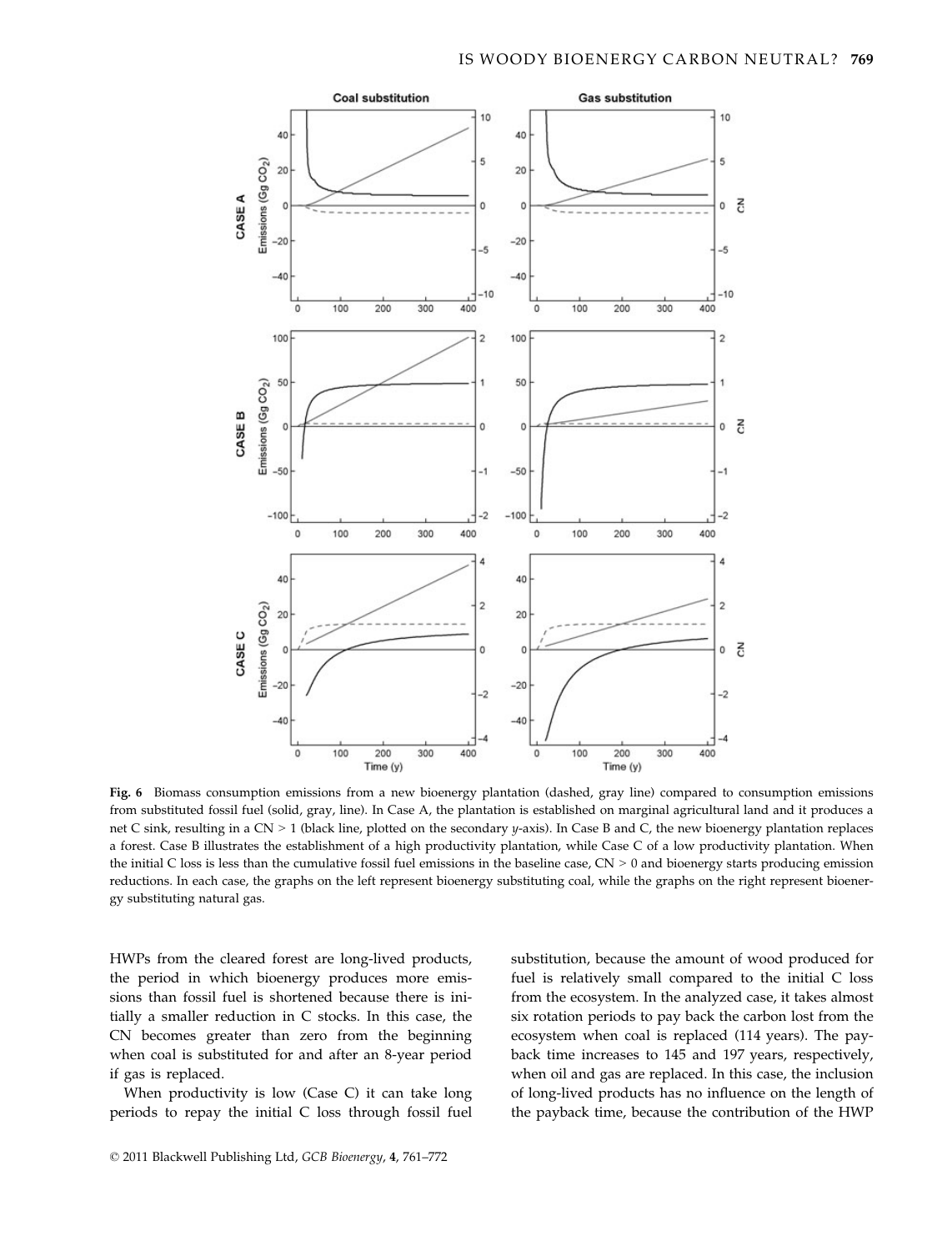

Fig. 6 Biomass consumption emissions from a new bioenergy plantation (dashed, gray line) compared to consumption emissions from substituted fossil fuel (solid, gray, line). In Case A, the plantation is established on marginal agricultural land and it produces a net C sink, resulting in a CN > 1 (black line, plotted on the secondary y-axis). In Case B and C, the new bioenergy plantation replaces a forest. Case B illustrates the establishment of a high productivity plantation, while Case C of a low productivity plantation. When the initial C loss is less than the cumulative fossil fuel emissions in the baseline case,  $CN > 0$  and bioenergy starts producing emission reductions. In each case, the graphs on the left represent bioenergy substituting coal, while the graphs on the right represent bioenergy substituting natural gas.

HWPs from the cleared forest are long-lived products, the period in which bioenergy produces more emissions than fossil fuel is shortened because there is initially a smaller reduction in C stocks. In this case, the CN becomes greater than zero from the beginning when coal is substituted for and after an 8-year period if gas is replaced.

When productivity is low (Case C) it can take long periods to repay the initial C loss through fossil fuel

© 2011 Blackwell Publishing Ltd, GCB Bioenergy, 4, 761–772

substitution, because the amount of wood produced for fuel is relatively small compared to the initial C loss from the ecosystem. In the analyzed case, it takes almost six rotation periods to pay back the carbon lost from the ecosystem when coal is replaced (114 years). The payback time increases to 145 and 197 years, respectively, when oil and gas are replaced. In this case, the inclusion of long-lived products has no influence on the length of the payback time, because the contribution of the HWP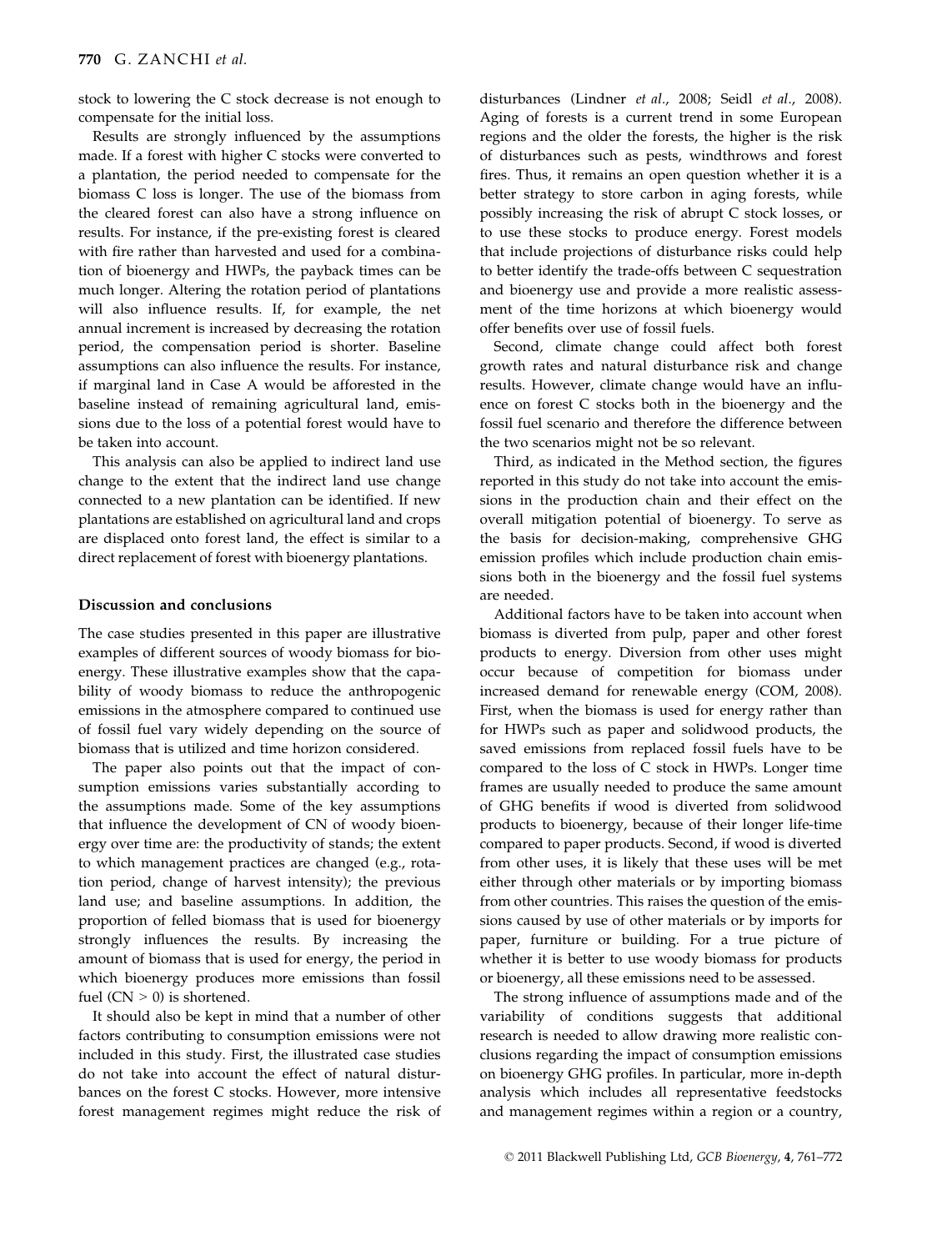stock to lowering the C stock decrease is not enough to compensate for the initial loss.

Results are strongly influenced by the assumptions made. If a forest with higher C stocks were converted to a plantation, the period needed to compensate for the biomass C loss is longer. The use of the biomass from the cleared forest can also have a strong influence on results. For instance, if the pre-existing forest is cleared with fire rather than harvested and used for a combination of bioenergy and HWPs, the payback times can be much longer. Altering the rotation period of plantations will also influence results. If, for example, the net annual increment is increased by decreasing the rotation period, the compensation period is shorter. Baseline assumptions can also influence the results. For instance, if marginal land in Case A would be afforested in the baseline instead of remaining agricultural land, emissions due to the loss of a potential forest would have to be taken into account.

This analysis can also be applied to indirect land use change to the extent that the indirect land use change connected to a new plantation can be identified. If new plantations are established on agricultural land and crops are displaced onto forest land, the effect is similar to a direct replacement of forest with bioenergy plantations.

## Discussion and conclusions

The case studies presented in this paper are illustrative examples of different sources of woody biomass for bioenergy. These illustrative examples show that the capability of woody biomass to reduce the anthropogenic emissions in the atmosphere compared to continued use of fossil fuel vary widely depending on the source of biomass that is utilized and time horizon considered.

The paper also points out that the impact of consumption emissions varies substantially according to the assumptions made. Some of the key assumptions that influence the development of CN of woody bioenergy over time are: the productivity of stands; the extent to which management practices are changed (e.g., rotation period, change of harvest intensity); the previous land use; and baseline assumptions. In addition, the proportion of felled biomass that is used for bioenergy strongly influences the results. By increasing the amount of biomass that is used for energy, the period in which bioenergy produces more emissions than fossil fuel  $(CN > 0)$  is shortened.

It should also be kept in mind that a number of other factors contributing to consumption emissions were not included in this study. First, the illustrated case studies do not take into account the effect of natural disturbances on the forest C stocks. However, more intensive forest management regimes might reduce the risk of disturbances (Lindner et al., 2008; Seidl et al., 2008). Aging of forests is a current trend in some European regions and the older the forests, the higher is the risk of disturbances such as pests, windthrows and forest fires. Thus, it remains an open question whether it is a better strategy to store carbon in aging forests, while possibly increasing the risk of abrupt C stock losses, or to use these stocks to produce energy. Forest models that include projections of disturbance risks could help to better identify the trade-offs between C sequestration and bioenergy use and provide a more realistic assessment of the time horizons at which bioenergy would offer benefits over use of fossil fuels.

Second, climate change could affect both forest growth rates and natural disturbance risk and change results. However, climate change would have an influence on forest C stocks both in the bioenergy and the fossil fuel scenario and therefore the difference between the two scenarios might not be so relevant.

Third, as indicated in the Method section, the figures reported in this study do not take into account the emissions in the production chain and their effect on the overall mitigation potential of bioenergy. To serve as the basis for decision-making, comprehensive GHG emission profiles which include production chain emissions both in the bioenergy and the fossil fuel systems are needed.

Additional factors have to be taken into account when biomass is diverted from pulp, paper and other forest products to energy. Diversion from other uses might occur because of competition for biomass under increased demand for renewable energy (COM, 2008). First, when the biomass is used for energy rather than for HWPs such as paper and solidwood products, the saved emissions from replaced fossil fuels have to be compared to the loss of C stock in HWPs. Longer time frames are usually needed to produce the same amount of GHG benefits if wood is diverted from solidwood products to bioenergy, because of their longer life-time compared to paper products. Second, if wood is diverted from other uses, it is likely that these uses will be met either through other materials or by importing biomass from other countries. This raises the question of the emissions caused by use of other materials or by imports for paper, furniture or building. For a true picture of whether it is better to use woody biomass for products or bioenergy, all these emissions need to be assessed.

The strong influence of assumptions made and of the variability of conditions suggests that additional research is needed to allow drawing more realistic conclusions regarding the impact of consumption emissions on bioenergy GHG profiles. In particular, more in-depth analysis which includes all representative feedstocks and management regimes within a region or a country,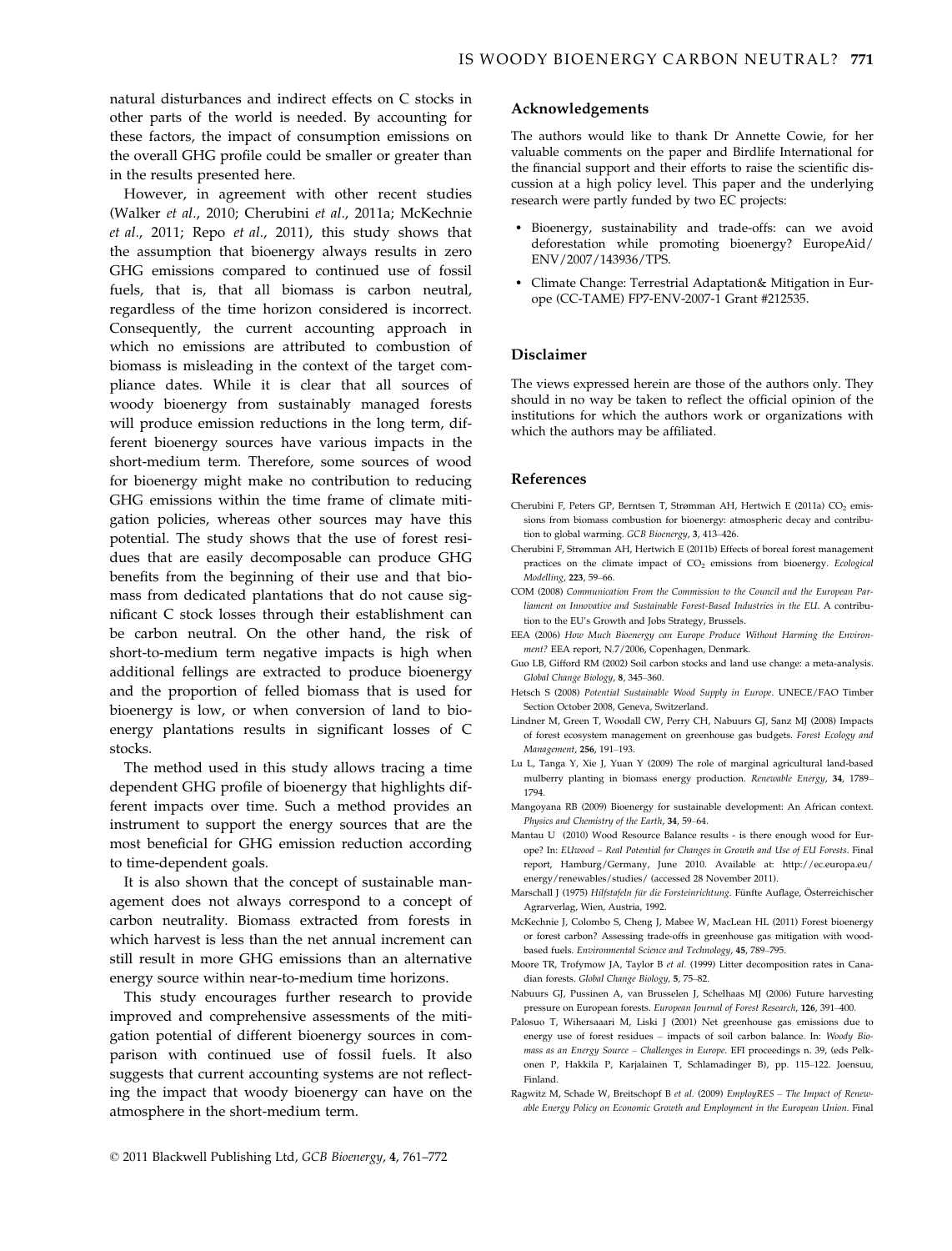natural disturbances and indirect effects on C stocks in other parts of the world is needed. By accounting for these factors, the impact of consumption emissions on the overall GHG profile could be smaller or greater than in the results presented here.

However, in agreement with other recent studies (Walker et al., 2010; Cherubini et al., 2011a; McKechnie et al., 2011; Repo et al., 2011), this study shows that the assumption that bioenergy always results in zero GHG emissions compared to continued use of fossil fuels, that is, that all biomass is carbon neutral, regardless of the time horizon considered is incorrect. Consequently, the current accounting approach in which no emissions are attributed to combustion of biomass is misleading in the context of the target compliance dates. While it is clear that all sources of woody bioenergy from sustainably managed forests will produce emission reductions in the long term, different bioenergy sources have various impacts in the short-medium term. Therefore, some sources of wood for bioenergy might make no contribution to reducing GHG emissions within the time frame of climate mitigation policies, whereas other sources may have this potential. The study shows that the use of forest residues that are easily decomposable can produce GHG benefits from the beginning of their use and that biomass from dedicated plantations that do not cause significant C stock losses through their establishment can be carbon neutral. On the other hand, the risk of short-to-medium term negative impacts is high when additional fellings are extracted to produce bioenergy and the proportion of felled biomass that is used for bioenergy is low, or when conversion of land to bioenergy plantations results in significant losses of C stocks.

The method used in this study allows tracing a time dependent GHG profile of bioenergy that highlights different impacts over time. Such a method provides an instrument to support the energy sources that are the most beneficial for GHG emission reduction according to time-dependent goals.

It is also shown that the concept of sustainable management does not always correspond to a concept of carbon neutrality. Biomass extracted from forests in which harvest is less than the net annual increment can still result in more GHG emissions than an alternative energy source within near-to-medium time horizons.

This study encourages further research to provide improved and comprehensive assessments of the mitigation potential of different bioenergy sources in comparison with continued use of fossil fuels. It also suggests that current accounting systems are not reflecting the impact that woody bioenergy can have on the atmosphere in the short-medium term.

#### Acknowledgements

The authors would like to thank Dr Annette Cowie, for her valuable comments on the paper and Birdlife International for the financial support and their efforts to raise the scientific discussion at a high policy level. This paper and the underlying research were partly funded by two EC projects:

- Bioenergy, sustainability and trade-offs: can we avoid deforestation while promoting bioenergy? EuropeAid/ ENV/2007/143936/TPS.
- Climate Change: Terrestrial Adaptation& Mitigation in Europe (CC-TAME) FP7-ENV-2007-1 Grant #212535.

## Disclaimer

The views expressed herein are those of the authors only. They should in no way be taken to reflect the official opinion of the institutions for which the authors work or organizations with which the authors may be affiliated.

## References

- Cherubini F, Peters GP, Berntsen T, Strømman AH, Hertwich E (2011a) CO<sub>2</sub> emissions from biomass combustion for bioenergy: atmospheric decay and contribution to global warming. GCB Bioenergy, 3, 413–426.
- Cherubini F, Strømman AH, Hertwich E (2011b) Effects of boreal forest management practices on the climate impact of  $CO<sub>2</sub>$  emissions from bioenergy. Ecological Modelling, 223, 59–66.
- COM (2008) Communication From the Commission to the Council and the European Parliament on Innovative and Sustainable Forest-Based Industries in the EU. A contribution to the EU's Growth and Jobs Strategy, Brussels.
- EEA (2006) How Much Bioenergy can Europe Produce Without Harming the Environment? EEA report, N.7/2006, Copenhagen, Denmark.
- Guo LB, Gifford RM (2002) Soil carbon stocks and land use change: a meta-analysis. Global Change Biology, 8, 345–360.
- Hetsch S (2008) Potential Sustainable Wood Supply in Europe. UNECE/FAO Timber Section October 2008, Geneva, Switzerland.
- Lindner M, Green T, Woodall CW, Perry CH, Nabuurs GJ, Sanz MJ (2008) Impacts of forest ecosystem management on greenhouse gas budgets. Forest Ecology and Management, 256, 191–193.
- Lu L, Tanga Y, Xie J, Yuan Y (2009) The role of marginal agricultural land-based mulberry planting in biomass energy production. Renewable Energy, 34, 1789– 1794.
- Mangoyana RB (2009) Bioenergy for sustainable development: An African context. Physics and Chemistry of the Earth, 34, 59–64.
- Mantau U (2010) Wood Resource Balance results is there enough wood for Europe? In: EUwood – Real Potential for Changes in Growth and Use of EU Forests. Final report, Hamburg/Germany, June 2010. Available at: http://ec.europa.eu/ energy/renewables/studies/ (accessed 28 November 2011).
- Marschall J (1975) Hilfstafeln für die Forsteinrichtung. Fünfte Auflage, Österreichischer Agrarverlag, Wien, Austria, 1992.
- McKechnie J, Colombo S, Cheng J, Mabee W, MacLean HL (2011) Forest bioenergy or forest carbon? Assessing trade-offs in greenhouse gas mitigation with woodbased fuels. Environmental Science and Technology, 45, 789–795.
- Moore TR, Trofymow JA, Taylor B et al. (1999) Litter decomposition rates in Canadian forests. Global Change Biology, 5, 75–82.
- Nabuurs GJ, Pussinen A, van Brusselen J, Schelhaas MJ (2006) Future harvesting pressure on European forests. European Journal of Forest Research, 126, 391–400.
- Palosuo T, Wihersaaari M, Liski J (2001) Net greenhouse gas emissions due to energy use of forest residues – impacts of soil carbon balance. In: Woody Biomass as an Energy Source – Challenges in Europe. EFI proceedings n. 39, (eds Pelkonen P, Hakkila P, Karjalainen T, Schlamadinger B), pp. 115–122. Joensuu, Finland.
- Ragwitz M, Schade W, Breitschopf B et al. (2009) EmployRES The Impact of Renewable Energy Policy on Economic Growth and Employment in the European Union. Final